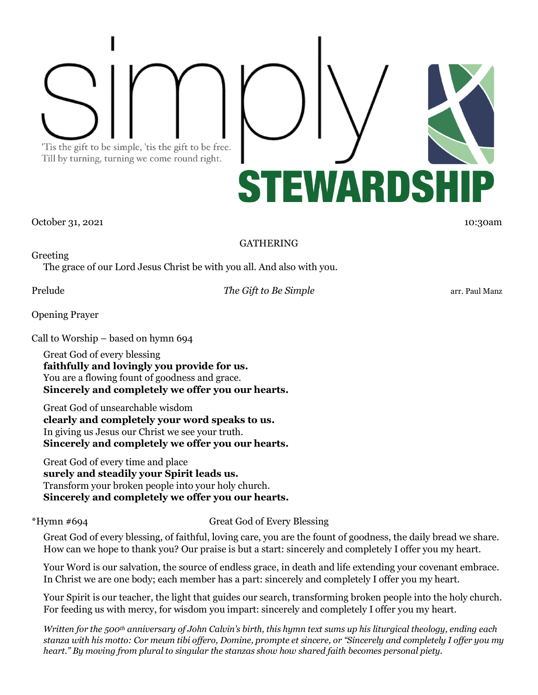'Tis the gift to be simple, 'tis the gift to be free. Till by turning, turning we come round right.



October 31, 2021 10:30am 10:30am 10:30am 10:30am 10:30am 10:30am 10:30am 10:30am

## GATHERING

Greeting The grace of our Lord Jesus Christ be with you all. And also with you.

Prelude *The Gift to Be Simple* arr. Paul Manz

Opening Prayer

Call to Worship – based on hymn 694

Great God of every blessing **faithfully and lovingly you provide for us.** You are a flowing fount of goodness and grace. **Sincerely and completely we offer you our hearts.**

Great God of unsearchable wisdom **clearly and completely your word speaks to us.** In giving us Jesus our Christ we see your truth. **Sincerely and completely we offer you our hearts.**

Great God of every time and place **surely and steadily your Spirit leads us.** Transform your broken people into your holy church. **Sincerely and completely we offer you our hearts.**

\*Hymn #694 Great God of Every Blessing

Great God of every blessing, of faithful, loving care, you are the fount of goodness, the daily bread we share. How can we hope to thank you? Our praise is but a start: sincerely and completely I offer you my heart.

Your Word is our salvation, the source of endless grace, in death and life extending your covenant embrace. In Christ we are one body; each member has a part: sincerely and completely I offer you my heart.

Your Spirit is our teacher, the light that guides our search, transforming broken people into the holy church. For feeding us with mercy, for wisdom you impart: sincerely and completely I offer you my heart.

*Written for the 500th anniversary of John Calvin's birth, this hymn text sums up his liturgical theology, ending each stanza with his motto: Cor meum tibi offero, Domine, prompte et sincere, or "Sincerely and completely I offer you my heart." By moving from plural to singular the stanzas show how shared faith becomes personal piety.*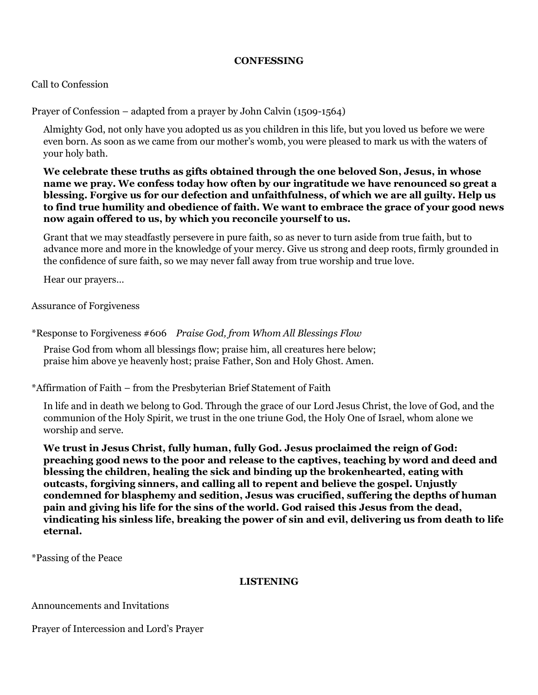## **CONFESSING**

## Call to Confession

Prayer of Confession – adapted from a prayer by John Calvin (1509-1564)

Almighty God, not only have you adopted us as you children in this life, but you loved us before we were even born. As soon as we came from our mother's womb, you were pleased to mark us with the waters of your holy bath.

**We celebrate these truths as gifts obtained through the one beloved Son, Jesus, in whose name we pray. We confess today how often by our ingratitude we have renounced so great a blessing. Forgive us for our defection and unfaithfulness, of which we are all guilty. Help us to find true humility and obedience of faith. We want to embrace the grace of your good news now again offered to us, by which you reconcile yourself to us.**

Grant that we may steadfastly persevere in pure faith, so as never to turn aside from true faith, but to advance more and more in the knowledge of your mercy. Give us strong and deep roots, firmly grounded in the confidence of sure faith, so we may never fall away from true worship and true love.

Hear our prayers…

Assurance of Forgiveness

\*Response to Forgiveness #606 *Praise God, from Whom All Blessings Flow*

Praise God from whom all blessings flow; praise him, all creatures here below; praise him above ye heavenly host; praise Father, Son and Holy Ghost. Amen.

\*Affirmation of Faith – from the Presbyterian Brief Statement of Faith

In life and in death we belong to God. Through the grace of our Lord Jesus Christ, the love of God, and the communion of the Holy Spirit, we trust in the one triune God, the Holy One of Israel, whom alone we worship and serve.

**We trust in Jesus Christ, fully human, fully God. Jesus proclaimed the reign of God: preaching good news to the poor and release to the captives, teaching by word and deed and blessing the children, healing the sick and binding up the brokenhearted, eating with outcasts, forgiving sinners, and calling all to repent and believe the gospel. Unjustly condemned for blasphemy and sedition, Jesus was crucified, suffering the depths of human pain and giving his life for the sins of the world. God raised this Jesus from the dead, vindicating his sinless life, breaking the power of sin and evil, delivering us from death to life eternal.**

\*Passing of the Peace

#### **LISTENING**

Announcements and Invitations

Prayer of Intercession and Lord's Prayer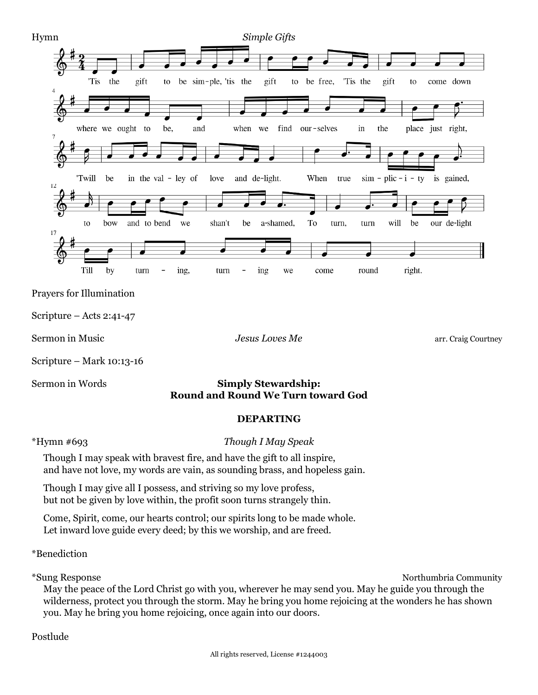

## Sermon in Words **Simply Stewardship: Round and Round We Turn toward God**

## **DEPARTING**

#### \*Hymn #693 *Though I May Speak*

Though I may speak with bravest fire, and have the gift to all inspire, and have not love, my words are vain, as sounding brass, and hopeless gain.

Though I may give all I possess, and striving so my love profess, but not be given by love within, the profit soon turns strangely thin.

Come, Spirit, come, our hearts control; our spirits long to be made whole. Let inward love guide every deed; by this we worship, and are freed.

\*Benediction

\*Sung Response Northumbria Community

May the peace of the Lord Christ go with you, wherever he may send you. May he guide you through the wilderness, protect you through the storm. May he bring you home rejoicing at the wonders he has shown you. May he bring you home rejoicing, once again into our doors.

Postlude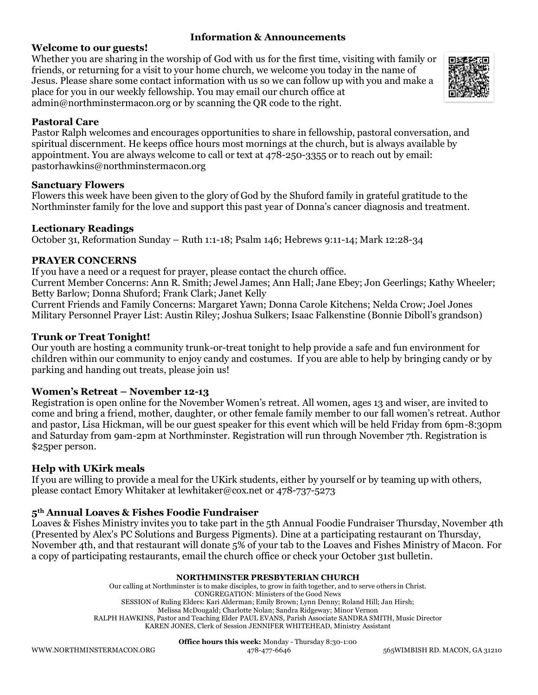## **Information & Announcements**

## **Welcome to our guests!**

Whether you are sharing in the worship of God with us for the first time, visiting with family or friends, or returning for a visit to your home church, we welcome you today in the name of Jesus. Please share some contact information with us so we can follow up with you and make a place for you in our weekly fellowship. You may email our church office at [admin@northminstermacon.org](mailto:admin@northminstermacon.org) or by scanning the QR code to the right.



## **Pastoral Care**

Pastor Ralph welcomes and encourages opportunities to share in fellowship, pastoral conversation, and spiritual discernment. He keeps office hours most mornings at the church, but is always available by appointment. You are always welcome to call or text at 478-250-3355 or to reach out by email: [pastorhawkins@northminstermacon.org](mailto:pastorhawkins@northminstermacon.org)

#### **Sanctuary Flowers**

Flowers this week have been given to the glory of God by the Shuford family in grateful gratitude to the Northminster family for the love and support this past year of Donna's cancer diagnosis and treatment.

## **Lectionary Readings**

October 31, Reformation Sunday – Ruth 1:1-18; Psalm 146; Hebrews 9:11-14; Mark 12:28-34

## **PRAYER CONCERNS**

If you have a need or a request for prayer, please contact the church office.

Current Member Concerns: Ann R. Smith; Jewel James; Ann Hall; Jane Ebey; Jon Geerlings; Kathy Wheeler; Betty Barlow; Donna Shuford; Frank Clark; Janet Kelly

Current Friends and Family Concerns: Margaret Yawn; Donna Carole Kitchens; Nelda Crow; Joel Jones Military Personnel Prayer List: Austin Riley; Joshua Sulkers; Isaac Falkenstine (Bonnie Diboll's grandson)

## **Trunk or Treat Tonight!**

Our youth are hosting a community trunk-or-treat tonight to help provide a safe and fun environment for children within our community to enjoy candy and costumes. If you are able to help by bringing candy or by parking and handing out treats, please join us!

## **Women's Retreat – November 12-13**

Registration is open online for the November Women's retreat. All women, ages 13 and wiser, are invited to come and bring a friend, mother, daughter, or other female family member to our fall women's retreat. Author and pastor, Lisa Hickman, will be our guest speaker for this event which will be held Friday from 6pm-8:30pm and Saturday from 9am-2pm at Northminster. Registration will run through November 7th. Registration is \$25per person.

## **Help with UKirk meals**

If you are willing to provide a meal for the UKirk students, either by yourself or by teaming up with others, please contact Emory Whitaker a[t lewhitaker@cox.net](mailto:lewhitaker@cox.net) or 478-737-5273

## **5th Annual Loaves & Fishes Foodie Fundraiser**

Loaves & Fishes Ministry invites you to take part in the 5th Annual Foodie Fundraiser Thursday, November 4th (Presented by Alex's PC Solutions and Burgess Pigments). Dine at a participating restaurant on Thursday, November 4th, and that restaurant will donate 5% of your tab to the Loaves and Fishes Ministry of Macon. For a copy of participating restaurants, email the church office or check your October 31st bulletin.

#### **NORTHMINSTER PRESBYTERIAN CHURCH**

Our calling at Northminster is to make disciples, to grow in faith together, and to serve others in Christ. CONGREGATION: Ministers of the Good News SESSION of Ruling Elders: Kari Alderman; Emily Brown; Lynn Denny; Roland Hill; Jan Hirsh; Melissa McDougald; Charlotte Nolan; Sandra Ridgeway; Minor Vernon RALPH HAWKINS, Pastor and Teaching Elder PAUL EVANS, Parish Associate SANDRA SMITH, Music Director KAREN JONES, Clerk of Session JENNIFER WHITEHEAD, Ministry Assistant

**Office hours this week:** Monday - Thursday 8:30-1:00

[WWW.NORTHMINSTERMACON.ORG](http://www.northminstermacon.org/) 478-477-6646 565WIMBISH RD. MACON, GA 31210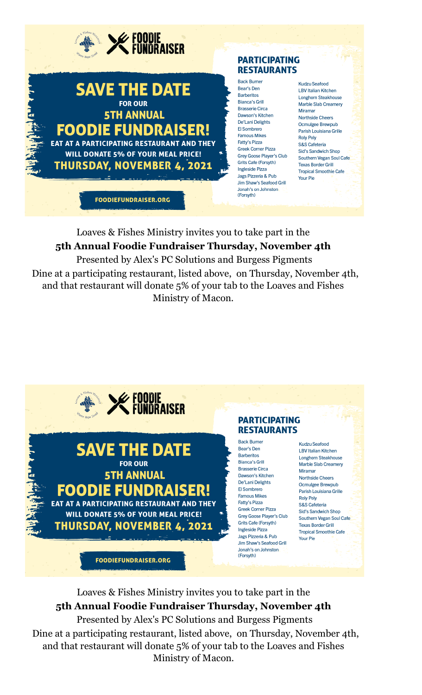

Loaves & Fishes Ministry invites you to take part in the **5th Annual Foodie Fundraiser Thursday, November 4th** Presented by Alex's PC Solutions and Burgess Pigments Dine at a participating restaurant, listed above, on Thursday, November 4th,

and that restaurant will donate 5% of your tab to the Loaves and Fishes Ministry of Macon.



Loaves & Fishes Ministry invites you to take part in the **5th Annual Foodie Fundraiser Thursday, November 4th** Presented by Alex's PC Solutions and Burgess Pigments Dine at a participating restaurant, listed above, on Thursday, November 4th, and that restaurant will donate 5% of your tab to the Loaves and Fishes

Ministry of Macon.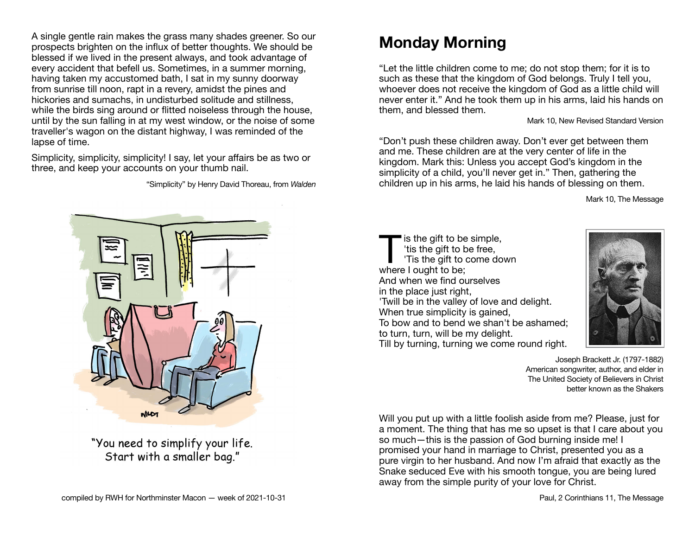A single gentle rain makes the grass many shades greener. So our prospects brighten on the influx of better thoughts. We should be blessed if we lived in the present always, and took advantage of every accident that befell us. Sometimes, in a summer morning, having taken my accustomed bath, I sat in my sunny doorway from sunrise till noon, rapt in a revery, amidst the pines and hickories and sumachs, in undisturbed solitude and stillness. while the birds sing around or flitted noiseless through the house. until by the sun falling in at my west window, or the noise of some traveller's wagon on the distant highway, I was reminded of the lapse of time.

Simplicity, simplicity, simplicity! I say, let your affairs be as two or three, and keep your accounts on your thumb nail.

"Simplicity" by Henry David Thoreau, from *Walden*



"You need to simplify your life. Start with a smaller bag."

# **Monday Morning**

"Let the little children come to me; do not stop them; for it is to such as these that the kingdom of God belongs. Truly I tell you, whoever does not receive the kingdom of God as a little child will never enter it." And he took them up in his arms, laid his hands on them, and blessed them.

Mark 10, New Revised Standard Version

"Don't push these children away. Don't ever get between them and me. These children are at the very center of life in the kingdom. Mark this: Unless you accept God's kingdom in the simplicity of a child, you'll never get in." Then, gathering the children up in his arms, he laid his hands of blessing on them.

Mark 10, The Message

is the gift to be simple,<br>
tis the gift to be free,<br>
'Tis the gift to come down<br>
where Lought to be: 'tis the gift to be free, where I ought to be: And when we find ourselves in the place just right, 'Twill be in the valley of love and delight. When true simplicity is gained, To bow and to bend we shan't be ashamed; to turn, turn, will be my delight. Till by turning, turning we come round right.



Joseph Brackett Jr. (1797-1882) American songwriter, author, and elder in The United Society of Believers in Christ better known as the Shakers

Will you put up with a little foolish aside from me? Please, just for a moment. The thing that has me so upset is that I care about you so much—this is the passion of God burning inside me! I promised your hand in marriage to Christ, presented you as a pure virgin to her husband. And now I'm afraid that exactly as the Snake seduced Eve with his smooth tongue, you are being lured away from the simple purity of your love for Christ.